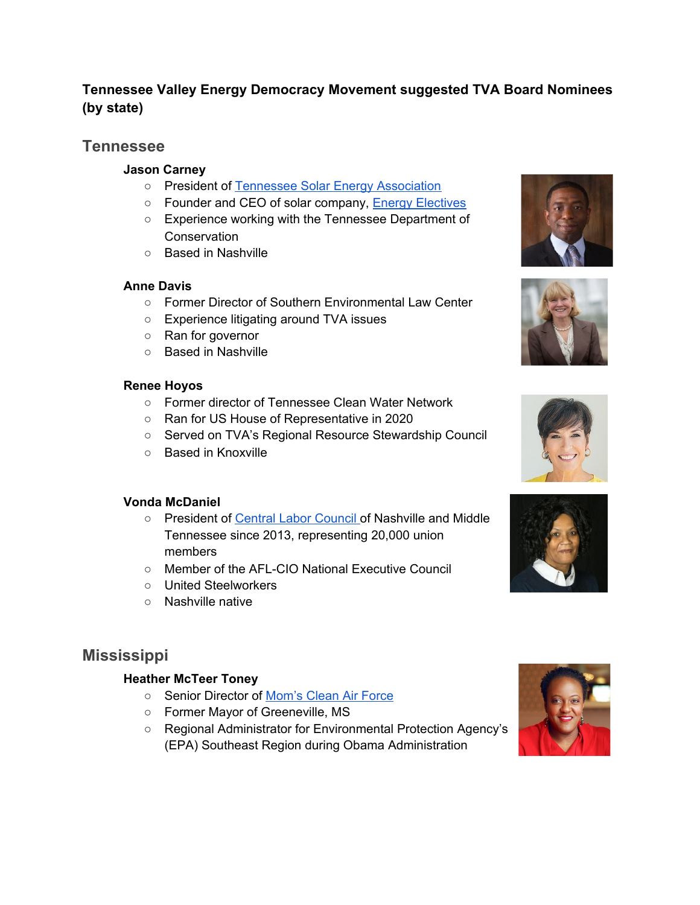## **Tennessee Valley Energy Democracy Movement suggested TVA Board Nominees (by state)**

## **Tennessee**

### **Jason Carney**

- President of Tennessee Solar Energy [Association](https://www.tnsolarenergy.org/about)
- Founder and CEO of solar company, Energy [Electives](http://energyelectives.com/about-us/about-jason/)
- Experience working with the Tennessee Department of **Conservation**
- Based in Nashville

### **Anne Davis**

- Former Director of Southern Environmental Law Center
- Experience litigating around TVA issues
- Ran for governor
- Based in Nashville

#### **Renee Hoyos**

- Former director of Tennessee Clean Water Network
- Ran for US House of Representative in 2020
- Served on TVA's Regional Resource Stewardship Council
- Based in Knoxville

### **Vonda McDaniel**

- President of Central Labor [Council](https://www.nashvilleclc.org/clc-leadership) of Nashville and Middle Tennessee since 2013, representing 20,000 union members
- Member of the AFL-CIO National Executive Council
- United Steelworkers
- Nashville native

# **Mississippi**

### **Heather McTeer Toney**

- Senior Director of [Mom's](https://www.momscleanairforce.org/team/heather-mcteer-toney/) Clean Air Force
- Former Mayor of Greeneville, MS
- Regional Administrator for Environmental Protection Agency's (EPA) Southeast Region during Obama Administration